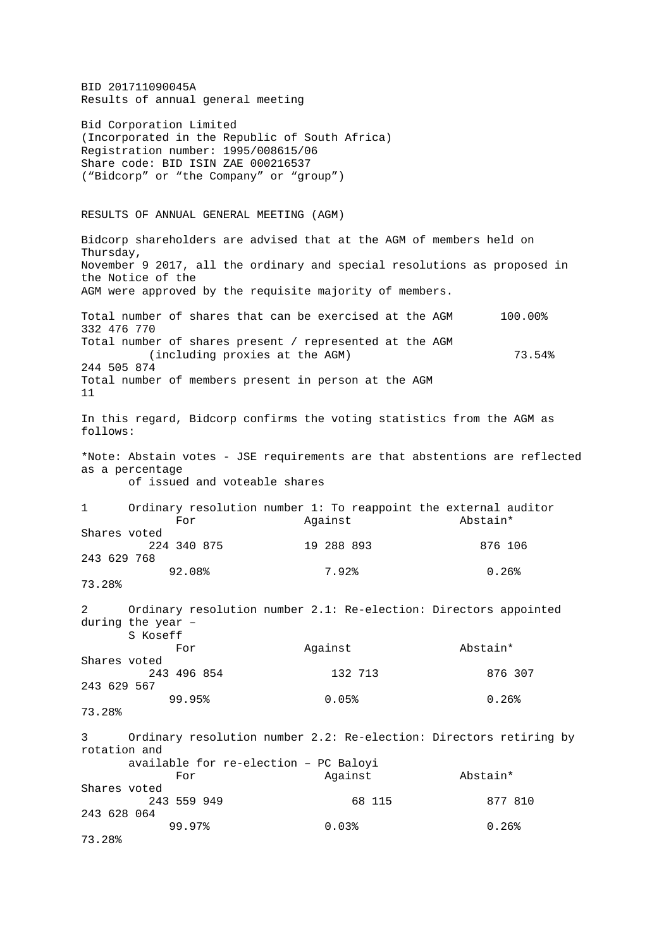BID 201711090045A Results of annual general meeting Bid Corporation Limited (Incorporated in the Republic of South Africa) Registration number: 1995/008615/06 Share code: BID ISIN ZAE 000216537 ("Bidcorp" or "the Company" or "group") RESULTS OF ANNUAL GENERAL MEETING (AGM) Bidcorp shareholders are advised that at the AGM of members held on Thursday, November 9 2017, all the ordinary and special resolutions as proposed in the Notice of the AGM were approved by the requisite majority of members. Total number of shares that can be exercised at the AGM 100.00% 332 476 770 Total number of shares present / represented at the AGM (including proxies at the AGM)  $73.54$ <sup>\*</sup> 244 505 874 Total number of members present in person at the AGM 11 In this regard, Bidcorp confirms the voting statistics from the AGM as follows: \*Note: Abstain votes - JSE requirements are that abstentions are reflected as a percentage of issued and voteable shares 1 Ordinary resolution number 1: To reappoint the external auditor<br>For Magainst Bostain\* For Against Abstain\* Shares voted 224 340 875 19 288 893 876 106 243 629 768  $92.08$  8  $7.92$  8  $0.26$ 73.28% 2 Ordinary resolution number 2.1: Re-election: Directors appointed during the year – S Koseff For Against Abstain\* Shares voted 243 496 854 132 713 876 307 243 629 567  $99.95\%$  0.05% 0.05% 0.26% 73.28% 3 Ordinary resolution number 2.2: Re-election: Directors retiring by rotation and available for re-election – PC Baloyi For Against Abstain\* Shares voted 243 559 949 68 115 877 810 243 628 064  $99.97\%$  0.03% 0.26% 0.26% 73.28%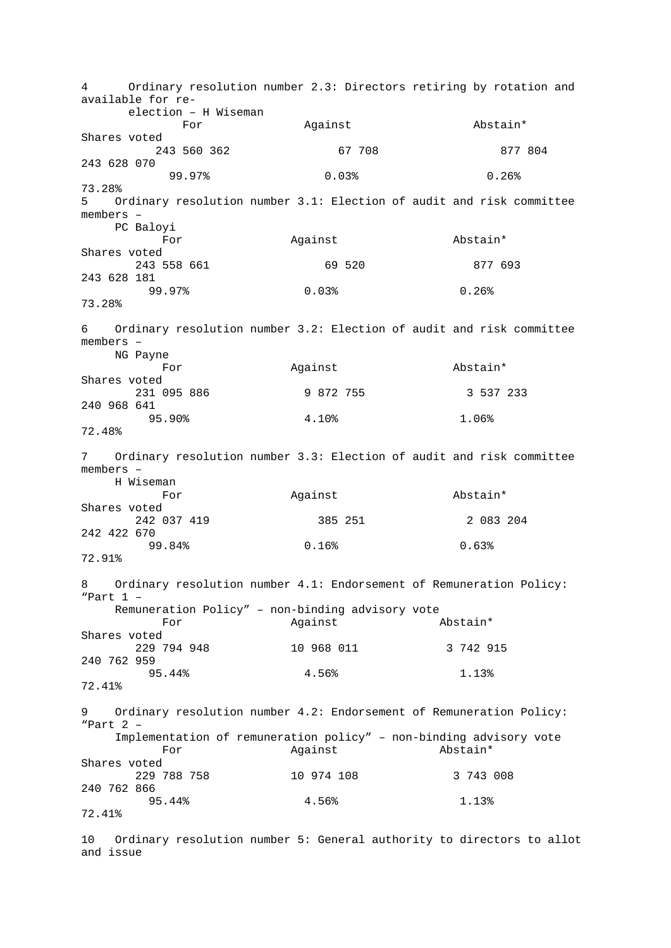4 Ordinary resolution number 2.3: Directors retiring by rotation and available for re election – H Wiseman For Against Abstain\* Shares voted 243 560 362 67 708 877 804 243 628 070  $99.97\%$  0.03% 0.26% 0.26% 73.28%<br>5 Or 5 Ordinary resolution number 3.1: Election of audit and risk committee members – PC Baloyi For Against Abstain\* Shares voted 243 558 661 69 520 877 693 243 628 181  $99.97\%$  0.03% 0.03% 0.26% 73.28% 6 Ordinary resolution number 3.2: Election of audit and risk committee members – NG Payne For Against Abstain\* Shares voted 231 095 886 9 872 755 3 537 233 240 968 641  $95.90\%$  4.10% 1.06% 72.48% 7 Ordinary resolution number 3.3: Election of audit and risk committee members – H Wiseman Against **Abstain\*** Shares voted 242 037 419 385 251 2 083 204 242 422 670  $99.84\%$  0.16% 0.16% 0.63% 72.91% 8 Ordinary resolution number 4.1: Endorsement of Remuneration Policy: "Part 1 – Remuneration Policy" – non-binding advisory vote<br>For against Abstain\* For Against Abstain\* Shares voted 229 794 948 10 968 011 3 742 915 240 762 959<br>95.44%  $95.44\%$   $4.56\%$   $1.13\%$ 72.41% 9 Ordinary resolution number 4.2: Endorsement of Remuneration Policy: "Part 2 – Implementation of remuneration policy" – non-binding advisory vote<br>For against abstain\* For Against Abstain\* Shares voted 229 788 758 10 974 108 3 743 008 240 762 866  $95.44\%$   $4.56\%$   $1.13\%$ 72.41%

10 Ordinary resolution number 5: General authority to directors to allot and issue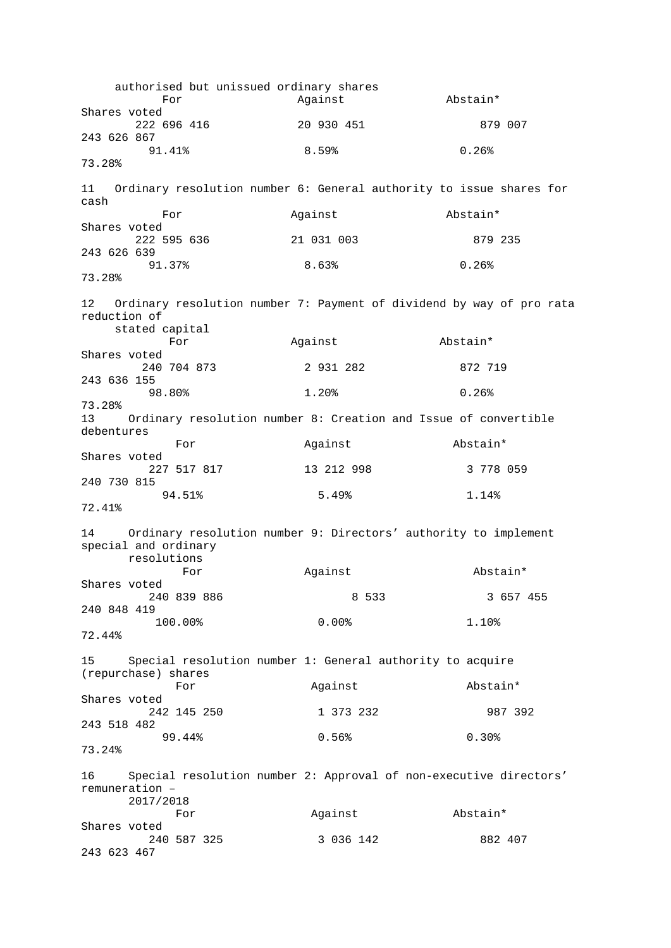authorised but unissued ordinary shares<br>For Against For Against Abstain\* Shares voted 20 930 451 879 007 243 626 867  $91.41\%$  8.59% 0.26% 73.28% 11 Ordinary resolution number 6: General authority to issue shares for cash For Against Abstain\* Shares voted 222 595 636 21 031 003 879 235 243 626 639  $91.37\%$  8.63% 0.26% 73.28% 12 Ordinary resolution number 7: Payment of dividend by way of pro rata reduction of stated capital<br>For For Against Abstain\* Shares voted 240 704 873 2 931 282 872 719 243 636 155  $98.80\%$  1.20% 1.20% 0.26% 73.28% 13 Ordinary resolution number 8: Creation and Issue of convertible debentures For Against Abstain\* Shares voted 227 517 817 13 212 998 3 778 059 240 730 815  $94.51\%$  5.49% 1.14% 72.41% 14 Ordinary resolution number 9: Directors' authority to implement special and ordinary resolutions Against Abstain\* Shares voted 240 839 886 8 533 3 657 455 240 848 419  $100.00$ %  $0.00$ % 1.10 72.44% 15 Special resolution number 1: General authority to acquire (repurchase) shares Against **Abstain**\* Shares voted 242 145 250 1 373 232 987 392 243 518 482  $99.44\%$  0.56% 0.30% 73.24% 16 Special resolution number 2: Approval of non-executive directors' remuneration – 2017/2018 For Against Abstain\* Shares voted 240 587 325 3 036 142 882 407 243 623 467